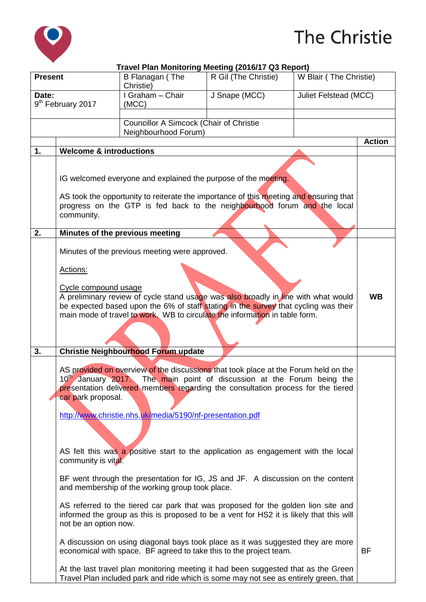

## The Christie

|                                        |                                                                                                                                                                                                                                                                                                                         | Travel Plan Monitoring Meeting (2016/17 Q3 Report)                                                                                                                                                                                                                                                                         |                      |                        |               |
|----------------------------------------|-------------------------------------------------------------------------------------------------------------------------------------------------------------------------------------------------------------------------------------------------------------------------------------------------------------------------|----------------------------------------------------------------------------------------------------------------------------------------------------------------------------------------------------------------------------------------------------------------------------------------------------------------------------|----------------------|------------------------|---------------|
| <b>Present</b>                         |                                                                                                                                                                                                                                                                                                                         | B Flanagan (The<br>Christie)                                                                                                                                                                                                                                                                                               | R Gil (The Christie) | W Blair (The Christie) |               |
| Date:<br>9 <sup>th</sup> February 2017 |                                                                                                                                                                                                                                                                                                                         | I Graham - Chair<br>(MCC)                                                                                                                                                                                                                                                                                                  | J Snape (MCC)        | Juliet Felstead (MCC)  |               |
|                                        |                                                                                                                                                                                                                                                                                                                         | <b>Councillor A Simcock (Chair of Christie</b><br>Neighbourhood Forum)                                                                                                                                                                                                                                                     |                      |                        |               |
|                                        |                                                                                                                                                                                                                                                                                                                         |                                                                                                                                                                                                                                                                                                                            |                      |                        | <b>Action</b> |
| 1.                                     | <b>Welcome &amp; introductions</b>                                                                                                                                                                                                                                                                                      |                                                                                                                                                                                                                                                                                                                            |                      |                        |               |
|                                        | community.                                                                                                                                                                                                                                                                                                              | IG welcomed everyone and explained the purpose of the meeting.<br>AS took the opportunity to reiterate the importance of this meeting and ensuring that<br>progress on the GTP is fed back to the neighbourhood forum and the local                                                                                        |                      |                        |               |
| 2.                                     |                                                                                                                                                                                                                                                                                                                         | Minutes of the previous meeting                                                                                                                                                                                                                                                                                            |                      |                        |               |
|                                        | Minutes of the previous meeting were approved.<br>Actions:                                                                                                                                                                                                                                                              |                                                                                                                                                                                                                                                                                                                            |                      |                        |               |
| 3.                                     | Cycle compound usage<br>A preliminary review of cycle stand usage was also broadly in line with what would<br>be expected based upon the 6% of staff stating in the survey that cycling was their<br>main mode of travel to work. WB to circulate the information in table form.<br>Christie Neighbourhood Forum update |                                                                                                                                                                                                                                                                                                                            |                      |                        |               |
|                                        |                                                                                                                                                                                                                                                                                                                         |                                                                                                                                                                                                                                                                                                                            |                      |                        |               |
|                                        | car park proposal.                                                                                                                                                                                                                                                                                                      | AS provided on overview of the discussions that took place at the Forum held on the<br>10 <sup>th</sup> January 2017. The main point of discussion at the Forum being the<br>presentation delivered members regarding the consultation process for the tiered<br>http://www.christie.nhs.uk/media/5190/nf-presentation.pdf |                      |                        |               |
|                                        | AS felt this was a positive start to the application as engagement with the local<br>community is vital.                                                                                                                                                                                                                |                                                                                                                                                                                                                                                                                                                            |                      |                        |               |
|                                        |                                                                                                                                                                                                                                                                                                                         | BF went through the presentation for IG, JS and JF. A discussion on the content<br>and membership of the working group took place.                                                                                                                                                                                         |                      |                        |               |
|                                        | not be an option now.                                                                                                                                                                                                                                                                                                   | AS referred to the tiered car park that was proposed for the golden lion site and<br>informed the group as this is proposed to be a vent for HS2 it is likely that this will                                                                                                                                               |                      |                        |               |
|                                        |                                                                                                                                                                                                                                                                                                                         | A discussion on using diagonal bays took place as it was suggested they are more<br>economical with space. BF agreed to take this to the project team.                                                                                                                                                                     |                      |                        | <b>BF</b>     |
|                                        |                                                                                                                                                                                                                                                                                                                         | At the last travel plan monitoring meeting it had been suggested that as the Green<br>Travel Plan included park and ride which is some may not see as entirely green, that                                                                                                                                                 |                      |                        |               |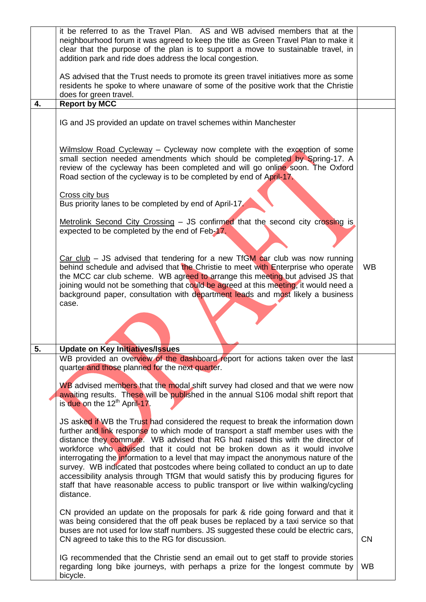|    | it be referred to as the Travel Plan. AS and WB advised members that at the<br>neighbourhood forum it was agreed to keep the title as Green Travel Plan to make it<br>clear that the purpose of the plan is to support a move to sustainable travel, in<br>addition park and ride does address the local congestion.                                                                                                                                                                                                                                                                                                                                                                                             |           |  |  |  |
|----|------------------------------------------------------------------------------------------------------------------------------------------------------------------------------------------------------------------------------------------------------------------------------------------------------------------------------------------------------------------------------------------------------------------------------------------------------------------------------------------------------------------------------------------------------------------------------------------------------------------------------------------------------------------------------------------------------------------|-----------|--|--|--|
|    | AS advised that the Trust needs to promote its green travel initiatives more as some<br>residents he spoke to where unaware of some of the positive work that the Christie<br>does for green travel.                                                                                                                                                                                                                                                                                                                                                                                                                                                                                                             |           |  |  |  |
| 4. | <b>Report by MCC</b>                                                                                                                                                                                                                                                                                                                                                                                                                                                                                                                                                                                                                                                                                             |           |  |  |  |
|    | IG and JS provided an update on travel schemes within Manchester                                                                                                                                                                                                                                                                                                                                                                                                                                                                                                                                                                                                                                                 |           |  |  |  |
|    | Wilmslow Road Cycleway - Cycleway now complete with the exception of some<br>small section needed amendments which should be completed by Spring-17. A<br>review of the cycleway has been completed and will go online soon. The Oxford<br>Road section of the cycleway is to be completed by end of April-17.                                                                                                                                                                                                                                                                                                                                                                                                   |           |  |  |  |
|    | Cross city bus<br>Bus priority lanes to be completed by end of April-17.                                                                                                                                                                                                                                                                                                                                                                                                                                                                                                                                                                                                                                         |           |  |  |  |
|    | Metrolink Second City Crossing - JS confirmed that the second city crossing is<br>expected to be completed by the end of Feb-17.                                                                                                                                                                                                                                                                                                                                                                                                                                                                                                                                                                                 |           |  |  |  |
|    | $Car club - JS$ advised that tendering for a new TfGM car club was now running<br>behind schedule and advised that the Christie to meet with Enterprise who operate<br>the MCC car club scheme. WB agreed to arrange this meeting but advised JS that<br>joining would not be something that could be agreed at this meeting, it would need a<br>background paper, consultation with department leads and most likely a business<br>case.                                                                                                                                                                                                                                                                        | <b>WB</b> |  |  |  |
|    |                                                                                                                                                                                                                                                                                                                                                                                                                                                                                                                                                                                                                                                                                                                  |           |  |  |  |
| 5. | Update on Key Initiatives/Issues                                                                                                                                                                                                                                                                                                                                                                                                                                                                                                                                                                                                                                                                                 |           |  |  |  |
|    | WB provided an overview of the dashboard report for actions taken over the last<br>quarter and those planned for the next quarter.                                                                                                                                                                                                                                                                                                                                                                                                                                                                                                                                                                               |           |  |  |  |
|    | WB advised members that the modal shift survey had closed and that we were now<br>awaiting results. These will be published in the annual S106 modal shift report that<br>is due on the 12 <sup>th</sup> April-17.                                                                                                                                                                                                                                                                                                                                                                                                                                                                                               |           |  |  |  |
|    | JS asked if WB the Trust had considered the request to break the information down<br>further and link response to which mode of transport a staff member uses with the<br>distance they commute. WB advised that RG had raised this with the director of<br>workforce who advised that it could not be broken down as it would involve<br>interrogating the information to a level that may impact the anonymous nature of the<br>survey. WB indicated that postcodes where being collated to conduct an up to date<br>accessibility analysis through TfGM that would satisfy this by producing figures for<br>staff that have reasonable access to public transport or live within walking/cycling<br>distance. |           |  |  |  |
|    | CN provided an update on the proposals for park & ride going forward and that it<br>was being considered that the off peak buses be replaced by a taxi service so that<br>buses are not used for low staff numbers. JS suggested these could be electric cars,<br>CN agreed to take this to the RG for discussion.                                                                                                                                                                                                                                                                                                                                                                                               | <b>CN</b> |  |  |  |
|    | IG recommended that the Christie send an email out to get staff to provide stories<br>regarding long bike journeys, with perhaps a prize for the longest commute by<br>bicycle.                                                                                                                                                                                                                                                                                                                                                                                                                                                                                                                                  | <b>WB</b> |  |  |  |